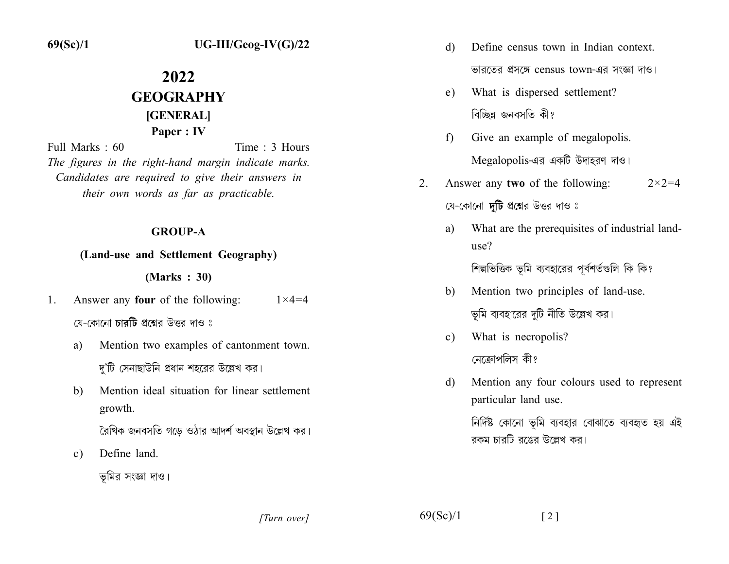$69(Sc)/1$ 

# $UG-III/Geog-IV(G)/22$

# 2022 **GEOGRAPHY** [GENERAL] Paper: IV

Time  $\cdot$  3 Hours Full Marks  $\cdot$  60 The figures in the right-hand margin indicate marks. Candidates are required to give their answers in their own words as far as practicable.

#### **GROUP-A**

#### (Land-use and Settlement Geography)

#### $(Marks : 30)$

- Answer any four of the following:  $\mathbf{1}$ .  $1 \times 4 = 4$ যে-কোনো **চাবটি** প্রশ্নের উত্তর দাও ঃ
	- Mention two examples of cantonment town. a) দ'টি সেনাছাউনি প্রধান শহরের উল্লেখ কর।
	- $b)$ Mention ideal situation for linear settlement growth.

রৈখিক জনবসতি গডে ওঠার আদর্শ অবস্থান উল্লেখ কর।

Define land.  $\mathbf{c})$ 

ভূমির সংজ্ঞা দাও।

- Define census town in Indian context d) ভারতের প্রসঙ্গে census town-এর সংজ্ঞা দাও।
- What is dispersed settlement?  $e)$ বিচ্ছিন্ন জনবসতি কী?
- Give an example of megalopolis. f) Megalopolis-এর একটি উদাহরণ দাও।
- Answer any two of the following:  $2^{\circ}$  $2 \times 2 = 4$ যে-কোনো **দুটি** প্রশ্নের উত্তর দাও ঃ
	- What are the prerequisites of industrial landa) use?

শিল্পভিত্তিক ভূমি ব্যবহারের পূর্বশর্তগুলি কি কি?

- Mention two principles of land-use. b) ভূমি ব্যবহারের দুটি নীতি উল্লেখ কর।
- What is necropolis?  $\mathbf{c}$ ) নেক্রোপলিস কী?
- Mention any four colours used to represent d) particular land use.

নির্দিষ্ট কোনো ভূমি ব্যবহার বোঝাতে ব্যবহৃত হয় এই রকম চারটি রঙের উল্লেখ কর।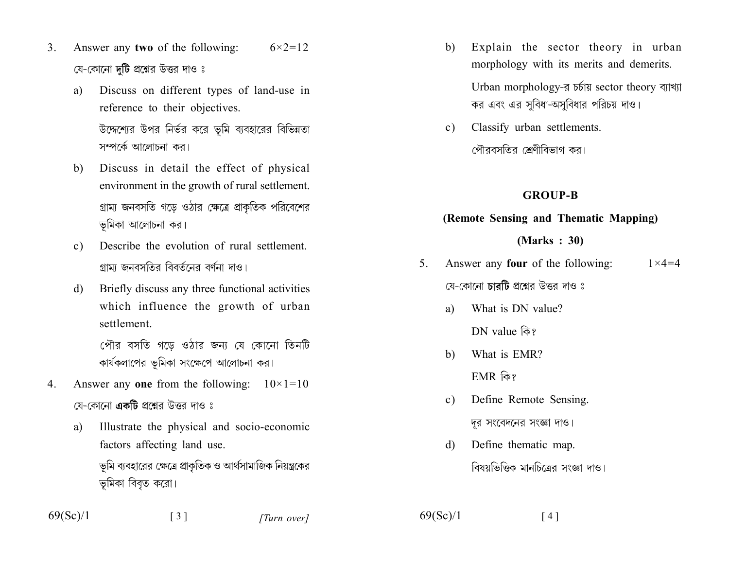- Answer any two of the following:  $6 \times 2 = 12$  $3_{-}$ যে-কোনো **দটি** প্রশ্নের উত্তর দাও ঃ
	- Discuss on different types of land-use in a) reference to their objectives. উদ্দেশ্যের উপর নির্ভর করে ভূমি ব্যবহারের বিভিন্নতা সম্পর্কে আলোচনা কর।
	- Discuss in detail the effect of physical  $b)$ environment in the growth of rural settlement. গ্রাম্য জনবসতি গড়ে ওঠার ক্ষেত্রে প্রাকৃতিক পরিবেশের ভূমিকা আলোচনা কর।
	- Describe the evolution of rural settlement  $c)$ গামা জনবসতিব বিবর্তনের বর্ণনা দাও।
	- Briefly discuss any three functional activities d) which influence the growth of urban settlement

পৌর বসতি গডে ওঠার জন্য যে কোনো তিনটি কার্যকলাপের ভূমিকা সংক্ষেপে আলোচনা কর।

- Answer any one from the following:  $10\times1=10$ 4. য়ে-কোনো **একটি** প্রশ্নের উত্তর দাও ঃ
	- Illustrate the physical and socio-economic a) factors affecting land use. ভূমি ব্যবহারের ক্ষেত্রে প্রাকৃতিক ও আর্থসামাজিক নিয়ন্ত্রকের

ভূমিকা বিবৃত করো।

- Explain the sector theory in urban b) morphology with its merits and demerits. Urban morphology-র চর্চায় sector theory ব্যাখ্যা কর এবং এর সবিধা-অসবিধার পরিচয় দাও।
- Classify urban settlements.  $\mathbf{c})$ পৌরবসতির শ্রেণীবিভাগ কর।

# **GROUP-B**

## (Remote Sensing and Thematic Mapping)

## $(Marks : 30)$

- Answer any **four** of the following:  $5<sup>1</sup>$  $1 \times 4 = 4$ যে-কোনো চারটি প্রশ্নের উত্তর দাও ঃ
	- What is DN value? a) DN value কি?
	- What is EMR? b) EMR কি?

Define Remote Sensing.  $\mathbf{c}$ ) দুর সংবেদনের সংজ্ঞা দাও।

Define thematic map. d) বিষয়ভিত্তিক মানচিত্রের সংজ্ঞা দাও।

 $\lceil 4 \rceil$ 

 $69(Sc)/1$ 

 $69(Sc)/1$